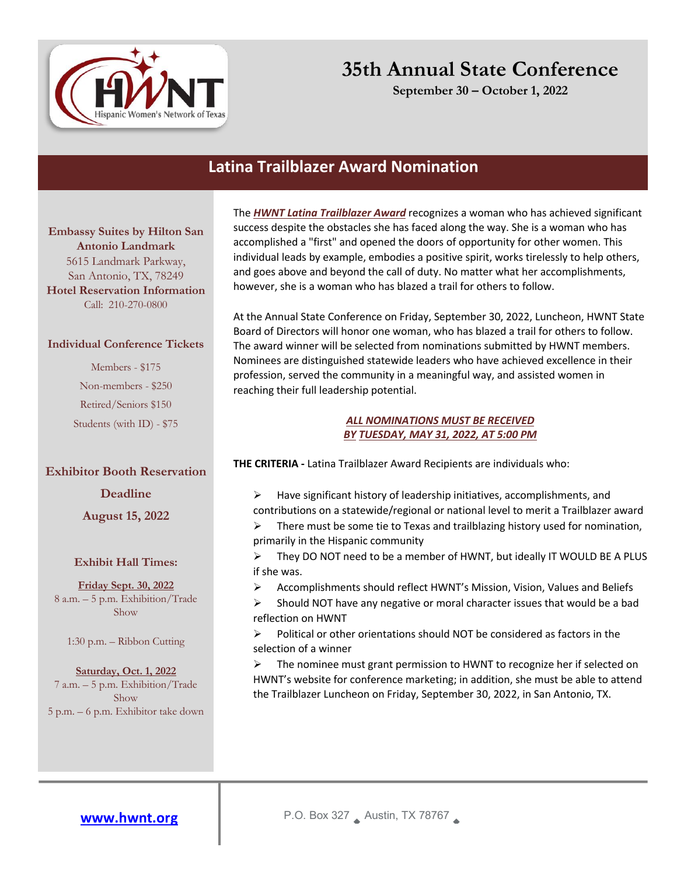

**September 30 – October 1, 2022**

### **Latina Trailblazer Award Nomination**

**Embassy Suites by Hilton San Antonio Landmark** 5615 Landmark Parkway, San Antonio, TX, 78249 **Hotel Reservation Information**  Call: 210-270-0800

#### **Individual Conference Tickets**

Members - \$175 Non-members - \$250 Retired/Seniors \$150 Students (with ID) - \$75

#### **Exhibitor Booth Reservation**

**Deadline** 

**August 15, 2022**

#### **Exhibit Hall Times:**

**Friday Sept. 30, 2022** 8 a.m. – 5 p.m. Exhibition/Trade Show

1:30 p.m. – Ribbon Cutting

**Saturday, Oct. 1, 2022** 7 a.m. – 5 p.m. Exhibition/Trade Show 5 p.m. – 6 p.m. Exhibitor take down The *HWNT Latina Trailblazer Award* recognizes a woman who has achieved significant success despite the obstacles she has faced along the way. She is a woman who has accomplished a "first" and opened the doors of opportunity for other women. This individual leads by example, embodies a positive spirit, works tirelessly to help others, and goes above and beyond the call of duty. No matter what her accomplishments, however, she is a woman who has blazed a trail for others to follow.

At the Annual State Conference on Friday, September 30, 2022, Luncheon, HWNT State Board of Directors will honor one woman, who has blazed a trail for others to follow. The award winner will be selected from nominations submitted by HWNT members. Nominees are distinguished statewide leaders who have achieved excellence in their profession, served the community in a meaningful way, and assisted women in reaching their full leadership potential.

#### *ALL NOMINATIONS MUST BE RECEIVED BY TUESDAY, MAY 31, 2022, AT 5:00 PM*

**THE CRITERIA -** Latina Trailblazer Award Recipients are individuals who:

 $\triangleright$  Have significant history of leadership initiatives, accomplishments, and contributions on a statewide/regional or national level to merit a Trailblazer award  $\triangleright$  There must be some tie to Texas and trailblazing history used for nomination, primarily in the Hispanic community

 $\triangleright$  They DO NOT need to be a member of HWNT, but ideally IT WOULD BE A PLUS if she was.

 $\triangleright$  Accomplishments should reflect HWNT's Mission, Vision, Values and Beliefs

 $\triangleright$  Should NOT have any negative or moral character issues that would be a bad reflection on HWNT

 $\triangleright$  Political or other orientations should NOT be considered as factors in the selection of a winner

Ø The nominee must grant permission to HWNT to recognize her if selected on HWNT's website for conference marketing; in addition, she must be able to attend the Trailblazer Luncheon on Friday, September 30, 2022, in San Antonio, TX.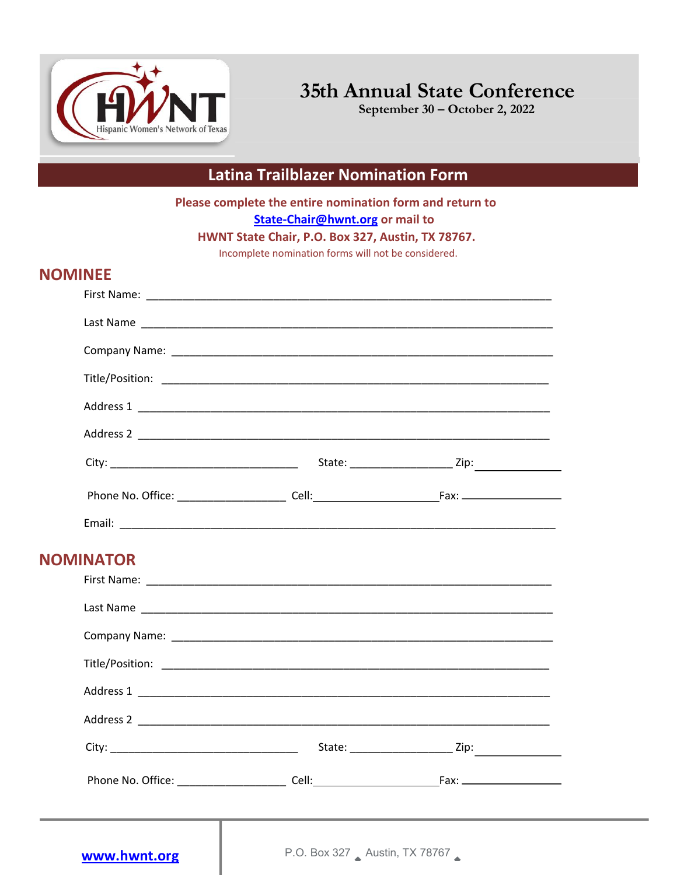

**September 30 – October 2, 2022**

## **Latina Trailblazer Nomination Form**

**Please complete the entire nomination form and return to State-Chair@hwnt.org or mail to** 

**HWNT State Chair, P.O. Box 327, Austin, TX 78767.** 

Incomplete nomination forms will not be considered.

### **NOMINEE**

| <b>NOMINATOR</b> |                               |  |
|------------------|-------------------------------|--|
|                  |                               |  |
|                  |                               |  |
| www.hwnt.org     | P.O. Box 327 Austin, TX 78767 |  |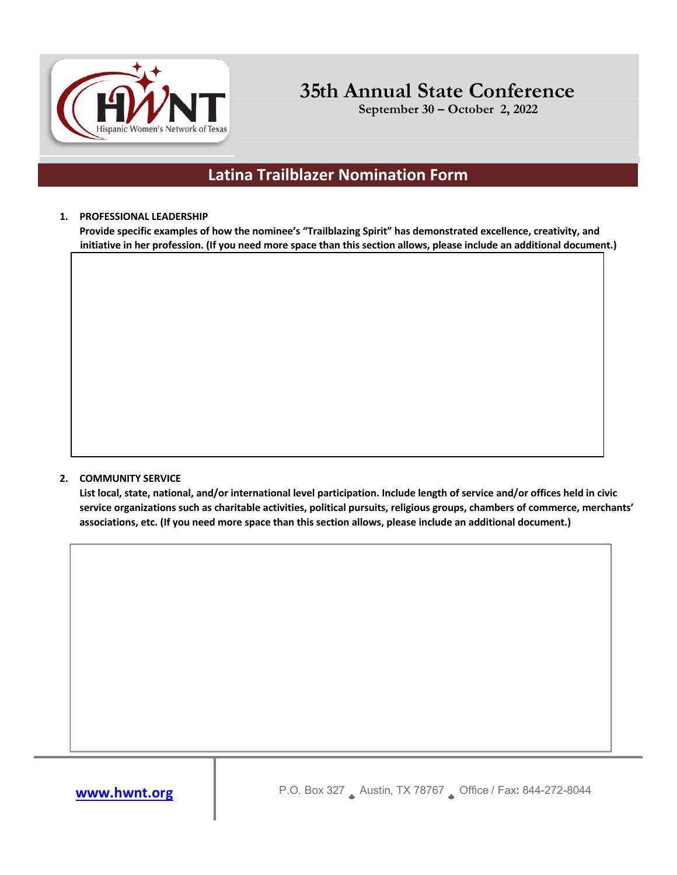

**September 30 – October 2, 2022**

### **Latina Trailblazer Nomination Form**

#### **1. PROFESSIONAL LEADERSHIP**

**Provide specific examples of how the nominee's "Trailblazing Spirit" has demonstrated excellence, creativity, and initiative in her profession. (If you need more space than this section allows, please include an additional document.)**

#### **2. COMMUNITY SERVICE**

**List local, state, national, and/or international level participation. Include length of service and/or offices held in civic service organizations such as charitable activities, political pursuits, religious groups, chambers of commerce, merchants' associations, etc. (If you need more space than this section allows, please include an additional document.)**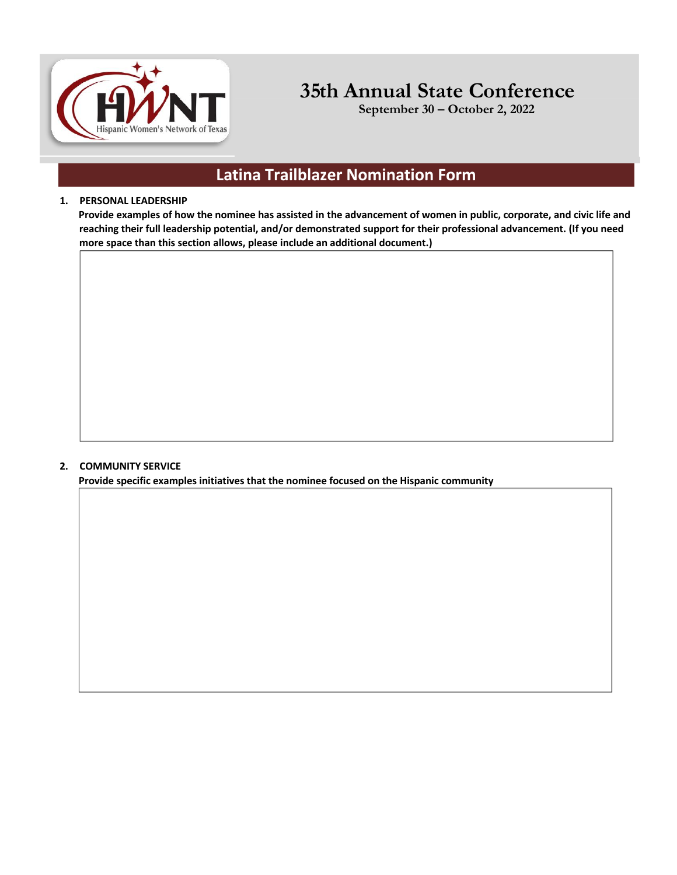

**September 30 – October 2, 2022**

## **Latina Trailblazer Nomination Form**

#### **1. PERSONAL LEADERSHIP**

**Provide examples of how the nominee has assisted in the advancement of women in public, corporate, and civic life and reaching their full leadership potential, and/or demonstrated support for their professional advancement. (If you need more space than this section allows, please include an additional document.)**

#### **2. COMMUNITY SERVICE**

**Provide specific examples initiatives that the nominee focused on the Hispanic community**